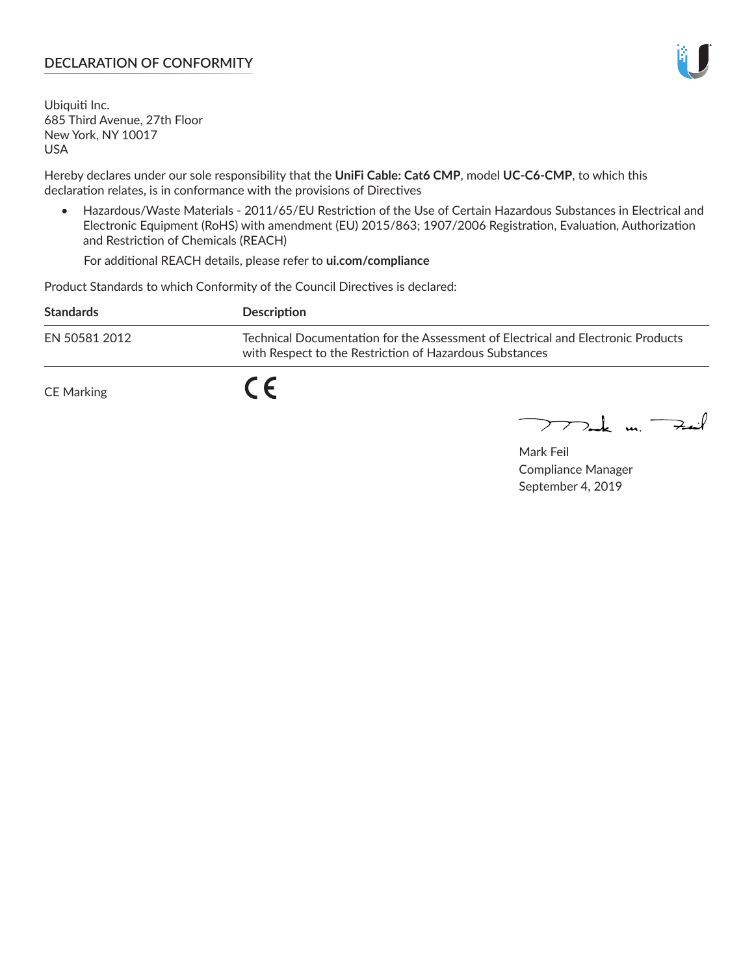# **DECLARATION OF CONFORMITY**

Ubiquiti Inc. 685 Third Avenue, 27th Floor New York, NY 10017 USA

Hereby declares under our sole responsibility that the **UniFi Cable: Cat6 CMP**, model **UC-C6-CMP**, to which this declaration relates, is in conformance with the provisions of Directives

• Hazardous/Waste Materials - 2011/65/EU Restriction of the Use of Certain Hazardous Substances in Electrical and Electronic Equipment (RoHS) with amendment (EU) 2015/863; 1907/2006 Registration, Evaluation, Authorization and Restriction of Chemicals (REACH)

For additional REACH details, please refer to **ui.com/compliance**

Product Standards to which Conformity of the Council Directives is declared:

| <b>Standards</b>  | Description                                                                                                                                 |
|-------------------|---------------------------------------------------------------------------------------------------------------------------------------------|
| EN 50581 2012     | Technical Documentation for the Assessment of Electrical and Electronic Products<br>with Respect to the Restriction of Hazardous Substances |
| <b>CE Marking</b> |                                                                                                                                             |

 $\sum_{n=1}^{\infty}$  un  $\sum_{n=1}^{\infty}$ 

Mark Feil Compliance Manager September 4, 2019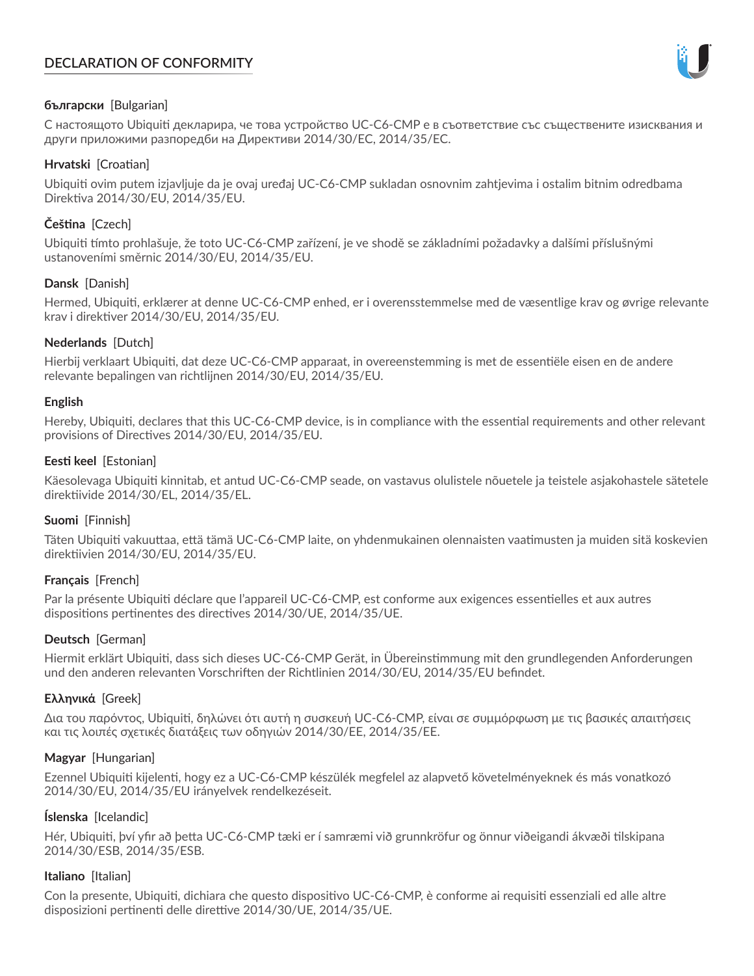# **DECLARATION OF CONFORMITY**



## **български** [Bulgarian]

С настоящото Ubiquiti декларира, че това устройство UC-C6-CMP е в съответствие със съществените изисквания и други приложими разпоредби на Директиви 2014/30/ЕС, 2014/35/ЕС.

## **Hrvatski** [Croatian]

Ubiquiti ovim putem izjavljuje da je ovaj uređaj UC-C6-CMP sukladan osnovnim zahtjevima i ostalim bitnim odredbama Direktiva 2014/30/EU, 2014/35/EU.

# **Čeština** [Czech]

Ubiquiti tímto prohlašuje, že toto UC-C6-CMP zařízení, je ve shodě se základními požadavky a dalšími příslušnými ustanoveními směrnic 2014/30/EU, 2014/35/EU.

## **Dansk** [Danish]

Hermed, Ubiquiti, erklærer at denne UC-C6-CMP enhed, er i overensstemmelse med de væsentlige krav og øvrige relevante krav i direktiver 2014/30/EU, 2014/35/EU.

## **Nederlands** [Dutch]

Hierbij verklaart Ubiquiti, dat deze UC-C6-CMP apparaat, in overeenstemming is met de essentiële eisen en de andere relevante bepalingen van richtlijnen 2014/30/EU, 2014/35/EU.

### **English**

Hereby, Ubiquiti, declares that this UC-C6-CMP device, is in compliance with the essential requirements and other relevant provisions of Directives 2014/30/EU, 2014/35/EU.

## **Eesti keel** [Estonian]

Käesolevaga Ubiquiti kinnitab, et antud UC-C6-CMP seade, on vastavus olulistele nõuetele ja teistele asjakohastele sätetele direktiivide 2014/30/EL, 2014/35/EL.

### **Suomi** [Finnish]

Täten Ubiquiti vakuuttaa, että tämä UC-C6-CMP laite, on yhdenmukainen olennaisten vaatimusten ja muiden sitä koskevien direktiivien 2014/30/EU, 2014/35/EU.

### **Français** [French]

Par la présente Ubiquiti déclare que l'appareil UC-C6-CMP, est conforme aux exigences essentielles et aux autres dispositions pertinentes des directives 2014/30/UE, 2014/35/UE.

# **Deutsch** [German]

Hiermit erklärt Ubiquiti, dass sich dieses UC-C6-CMP Gerät, in Übereinstimmung mit den grundlegenden Anforderungen und den anderen relevanten Vorschriften der Richtlinien 2014/30/EU, 2014/35/EU befindet.

### **Ελληνικά** [Greek]

Δια του παρόντος, Ubiquiti, δηλώνει ότι αυτή η συσκευή UC-C6-CMP, είναι σε συμμόρφωση με τις βασικές απαιτήσεις και τις λοιπές σχετικές διατάξεις των οδηγιών 2014/30/EE, 2014/35/EE.

### **Magyar** [Hungarian]

Ezennel Ubiquiti kijelenti, hogy ez a UC-C6-CMP készülék megfelel az alapvető követelményeknek és más vonatkozó 2014/30/EU, 2014/35/EU irányelvek rendelkezéseit.

### **Íslenska** [Icelandic]

Hér, Ubiquiti, því yfir að þetta UC-C6-CMP tæki er í samræmi við grunnkröfur og önnur viðeigandi ákvæði tilskipana 2014/30/ESB, 2014/35/ESB.

### **Italiano** [Italian]

Con la presente, Ubiquiti, dichiara che questo dispositivo UC-C6-CMP, è conforme ai requisiti essenziali ed alle altre disposizioni pertinenti delle direttive 2014/30/UE, 2014/35/UE.